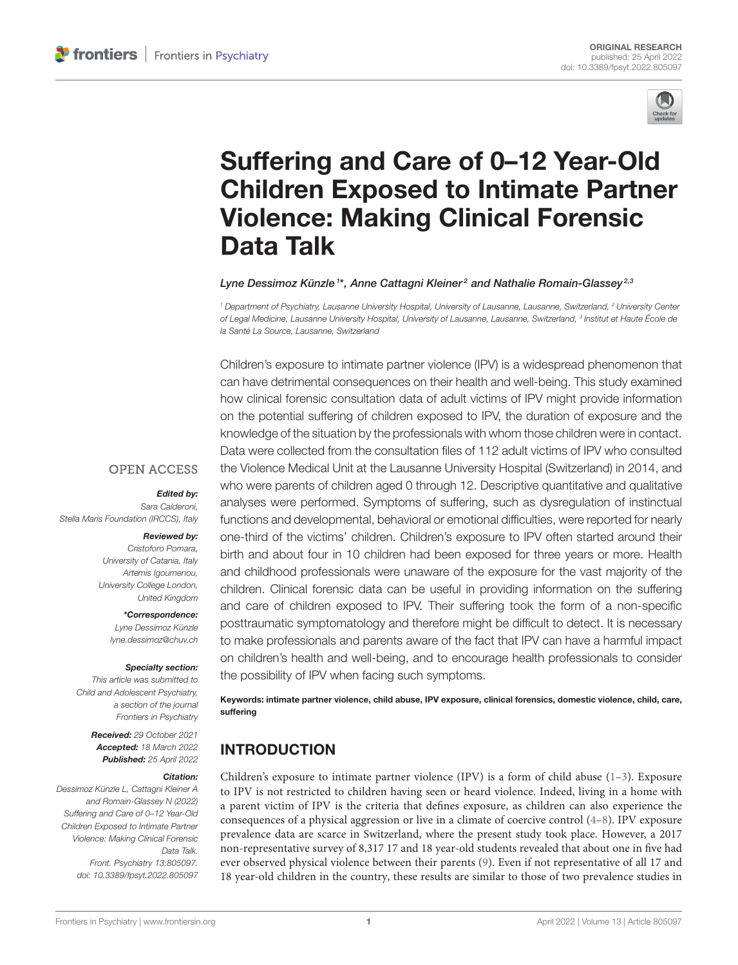

# Suffering and Care of 0–12 Year-Old [Children Exposed to Intimate Partner](https://www.frontiersin.org/articles/10.3389/fpsyt.2022.805097/full) Violence: Making Clinical Forensic Data Talk

#### Lyne Dessimoz Künzle<sup>1\*</sup>, Anne Cattagni Kleiner<sup>2</sup> and Nathalie Romain-Glassey<sup>2,3</sup>

<sup>1</sup> Department of Psychiatry, Lausanne University Hospital, University of Lausanne, Lausanne, Switzerland, <sup>2</sup> University Center of Legal Medicine, Lausanne University Hospital, University of Lausanne, Lausanne, Switzerland, <sup>3</sup> Institut et Haute École de la Santé La Source, Lausanne, Switzerland

Children's exposure to intimate partner violence (IPV) is a widespread phenomenon that can have detrimental consequences on their health and well-being. This study examined how clinical forensic consultation data of adult victims of IPV might provide information on the potential suffering of children exposed to IPV, the duration of exposure and the knowledge of the situation by the professionals with whom those children were in contact. Data were collected from the consultation files of 112 adult victims of IPV who consulted the Violence Medical Unit at the Lausanne University Hospital (Switzerland) in 2014, and who were parents of children aged 0 through 12. Descriptive quantitative and qualitative analyses were performed. Symptoms of suffering, such as dysregulation of instinctual functions and developmental, behavioral or emotional difficulties, were reported for nearly one-third of the victims' children. Children's exposure to IPV often started around their birth and about four in 10 children had been exposed for three years or more. Health and childhood professionals were unaware of the exposure for the vast majority of the children. Clinical forensic data can be useful in providing information on the suffering and care of children exposed to IPV. Their suffering took the form of a non-specific posttraumatic symptomatology and therefore might be difficult to detect. It is necessary to make professionals and parents aware of the fact that IPV can have a harmful impact on children's health and well-being, and to encourage health professionals to consider the possibility of IPV when facing such symptoms.

Keywords: intimate partner violence, child abuse, IPV exposure, clinical forensics, domestic violence, child, care, suffering

### INTRODUCTION

Children's exposure to intimate partner violence (IPV) is a form of child abuse  $(1-3)$  $(1-3)$ . Exposure to IPV is not restricted to children having seen or heard violence. Indeed, living in a home with a parent victim of IPV is the criteria that defines exposure, as children can also experience the consequences of a physical aggression or live in a climate of coercive control [\(4–](#page-8-2)[8\)](#page-8-3). IPV exposure prevalence data are scarce in Switzerland, where the present study took place. However, a 2017 non-representative survey of 8,317 17 and 18 year-old students revealed that about one in five had ever observed physical violence between their parents [\(9\)](#page-8-4). Even if not representative of all 17 and 18 year-old children in the country, these results are similar to those of two prevalence studies in

#### **OPEN ACCESS**

#### Edited by:

Sara Calderoni, Stella Maris Foundation (IRCCS), Italy

#### Reviewed by:

Cristoforo Pomara, University of Catania, Italy Artemis Igoumenou, University College London, United Kingdom

> \*Correspondence: Lyne Dessimoz Künzle [lyne.dessimoz@chuv.ch](mailto:lyne.dessimoz@chuv.ch)

#### Specialty section:

This article was submitted to Child and Adolescent Psychiatry, a section of the journal Frontiers in Psychiatry

> Received: 29 October 2021 Accepted: 18 March 2022 Published: 25 April 2022

#### Citation:

Dessimoz Künzle L, Cattagni Kleiner A and Romain-Glassey N (2022) Suffering and Care of 0–12 Year-Old Children Exposed to Intimate Partner Violence: Making Clinical Forensic Data Talk. Front. Psychiatry 13:805097. doi: [10.3389/fpsyt.2022.805097](https://doi.org/10.3389/fpsyt.2022.805097)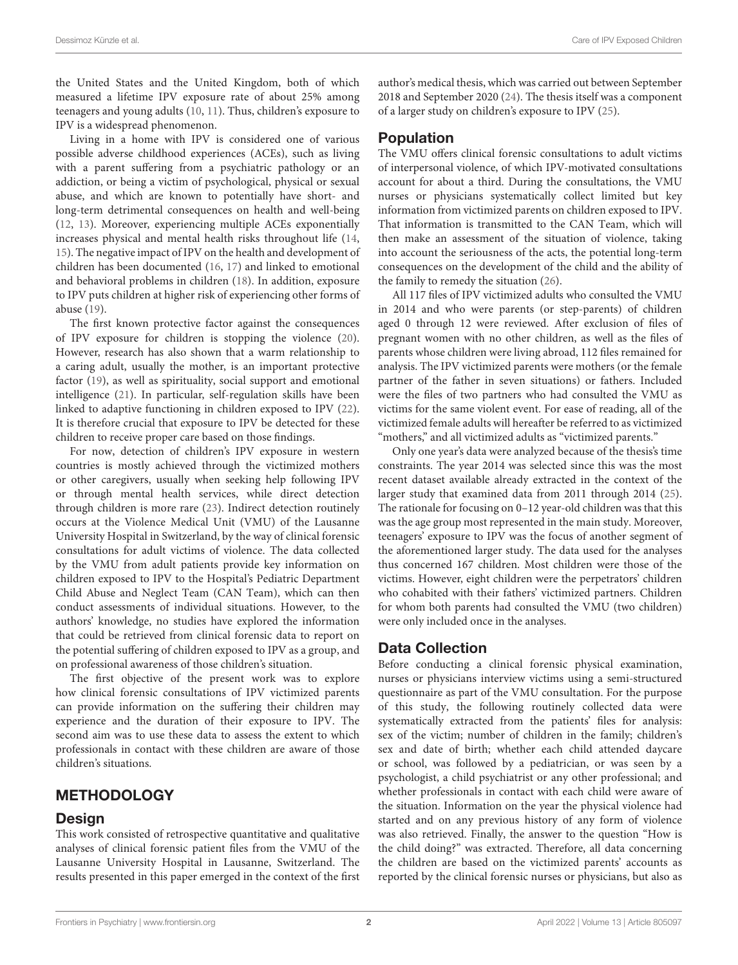the United States and the United Kingdom, both of which measured a lifetime IPV exposure rate of about 25% among teenagers and young adults [\(10,](#page-8-5) [11\)](#page-8-6). Thus, children's exposure to IPV is a widespread phenomenon.

Living in a home with IPV is considered one of various possible adverse childhood experiences (ACEs), such as living with a parent suffering from a psychiatric pathology or an addiction, or being a victim of psychological, physical or sexual abuse, and which are known to potentially have short- and long-term detrimental consequences on health and well-being [\(12,](#page-8-7) [13\)](#page-8-8). Moreover, experiencing multiple ACEs exponentially increases physical and mental health risks throughout life [\(14,](#page-8-9) [15\)](#page-8-10). The negative impact of IPV on the health and development of children has been documented [\(16,](#page-8-11) [17\)](#page-8-12) and linked to emotional and behavioral problems in children [\(18\)](#page-8-13). In addition, exposure to IPV puts children at higher risk of experiencing other forms of abuse [\(19\)](#page-8-14).

The first known protective factor against the consequences of IPV exposure for children is stopping the violence [\(20\)](#page-8-15). However, research has also shown that a warm relationship to a caring adult, usually the mother, is an important protective factor [\(19\)](#page-8-14), as well as spirituality, social support and emotional intelligence [\(21\)](#page-8-16). In particular, self-regulation skills have been linked to adaptive functioning in children exposed to IPV [\(22\)](#page-8-17). It is therefore crucial that exposure to IPV be detected for these children to receive proper care based on those findings.

For now, detection of children's IPV exposure in western countries is mostly achieved through the victimized mothers or other caregivers, usually when seeking help following IPV or through mental health services, while direct detection through children is more rare [\(23\)](#page-8-18). Indirect detection routinely occurs at the Violence Medical Unit (VMU) of the Lausanne University Hospital in Switzerland, by the way of clinical forensic consultations for adult victims of violence. The data collected by the VMU from adult patients provide key information on children exposed to IPV to the Hospital's Pediatric Department Child Abuse and Neglect Team (CAN Team), which can then conduct assessments of individual situations. However, to the authors' knowledge, no studies have explored the information that could be retrieved from clinical forensic data to report on the potential suffering of children exposed to IPV as a group, and on professional awareness of those children's situation.

The first objective of the present work was to explore how clinical forensic consultations of IPV victimized parents can provide information on the suffering their children may experience and the duration of their exposure to IPV. The second aim was to use these data to assess the extent to which professionals in contact with these children are aware of those children's situations.

### METHODOLOGY

### Design

This work consisted of retrospective quantitative and qualitative analyses of clinical forensic patient files from the VMU of the Lausanne University Hospital in Lausanne, Switzerland. The results presented in this paper emerged in the context of the first author's medical thesis, which was carried out between September 2018 and September 2020 [\(24\)](#page-8-19). The thesis itself was a component of a larger study on children's exposure to IPV [\(25\)](#page-8-20).

### Population

The VMU offers clinical forensic consultations to adult victims of interpersonal violence, of which IPV-motivated consultations account for about a third. During the consultations, the VMU nurses or physicians systematically collect limited but key information from victimized parents on children exposed to IPV. That information is transmitted to the CAN Team, which will then make an assessment of the situation of violence, taking into account the seriousness of the acts, the potential long-term consequences on the development of the child and the ability of the family to remedy the situation [\(26\)](#page-8-21).

All 117 files of IPV victimized adults who consulted the VMU in 2014 and who were parents (or step-parents) of children aged 0 through 12 were reviewed. After exclusion of files of pregnant women with no other children, as well as the files of parents whose children were living abroad, 112 files remained for analysis. The IPV victimized parents were mothers (or the female partner of the father in seven situations) or fathers. Included were the files of two partners who had consulted the VMU as victims for the same violent event. For ease of reading, all of the victimized female adults will hereafter be referred to as victimized "mothers," and all victimized adults as "victimized parents."

Only one year's data were analyzed because of the thesis's time constraints. The year 2014 was selected since this was the most recent dataset available already extracted in the context of the larger study that examined data from 2011 through 2014 [\(25\)](#page-8-20). The rationale for focusing on 0–12 year-old children was that this was the age group most represented in the main study. Moreover, teenagers' exposure to IPV was the focus of another segment of the aforementioned larger study. The data used for the analyses thus concerned 167 children. Most children were those of the victims. However, eight children were the perpetrators' children who cohabited with their fathers' victimized partners. Children for whom both parents had consulted the VMU (two children) were only included once in the analyses.

### Data Collection

Before conducting a clinical forensic physical examination, nurses or physicians interview victims using a semi-structured questionnaire as part of the VMU consultation. For the purpose of this study, the following routinely collected data were systematically extracted from the patients' files for analysis: sex of the victim; number of children in the family; children's sex and date of birth; whether each child attended daycare or school, was followed by a pediatrician, or was seen by a psychologist, a child psychiatrist or any other professional; and whether professionals in contact with each child were aware of the situation. Information on the year the physical violence had started and on any previous history of any form of violence was also retrieved. Finally, the answer to the question "How is the child doing?" was extracted. Therefore, all data concerning the children are based on the victimized parents' accounts as reported by the clinical forensic nurses or physicians, but also as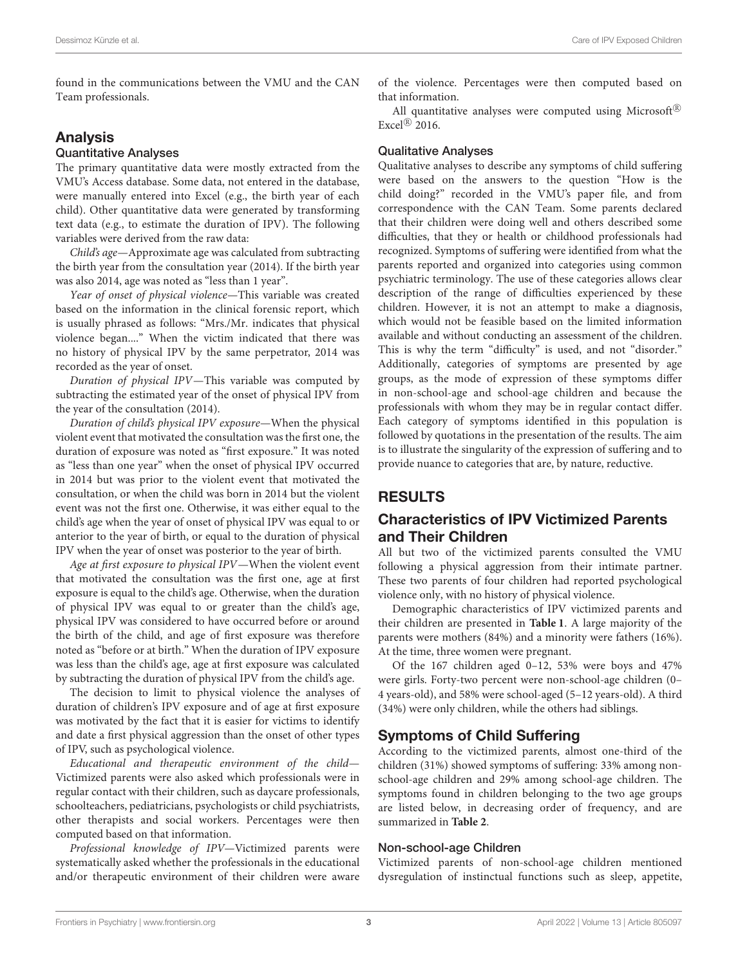found in the communications between the VMU and the CAN Team professionals.

### Analysis

#### Quantitative Analyses

The primary quantitative data were mostly extracted from the VMU's Access database. Some data, not entered in the database, were manually entered into Excel (e.g., the birth year of each child). Other quantitative data were generated by transforming text data (e.g., to estimate the duration of IPV). The following variables were derived from the raw data:

Child's age—Approximate age was calculated from subtracting the birth year from the consultation year (2014). If the birth year was also 2014, age was noted as "less than 1 year".

Year of onset of physical violence—This variable was created based on the information in the clinical forensic report, which is usually phrased as follows: "Mrs./Mr. indicates that physical violence began...." When the victim indicated that there was no history of physical IPV by the same perpetrator, 2014 was recorded as the year of onset.

Duration of physical IPV—This variable was computed by subtracting the estimated year of the onset of physical IPV from the year of the consultation (2014).

Duration of child's physical IPV exposure—When the physical violent event that motivated the consultation was the first one, the duration of exposure was noted as "first exposure." It was noted as "less than one year" when the onset of physical IPV occurred in 2014 but was prior to the violent event that motivated the consultation, or when the child was born in 2014 but the violent event was not the first one. Otherwise, it was either equal to the child's age when the year of onset of physical IPV was equal to or anterior to the year of birth, or equal to the duration of physical IPV when the year of onset was posterior to the year of birth.

Age at first exposure to physical IPV—When the violent event that motivated the consultation was the first one, age at first exposure is equal to the child's age. Otherwise, when the duration of physical IPV was equal to or greater than the child's age, physical IPV was considered to have occurred before or around the birth of the child, and age of first exposure was therefore noted as "before or at birth." When the duration of IPV exposure was less than the child's age, age at first exposure was calculated by subtracting the duration of physical IPV from the child's age.

The decision to limit to physical violence the analyses of duration of children's IPV exposure and of age at first exposure was motivated by the fact that it is easier for victims to identify and date a first physical aggression than the onset of other types of IPV, such as psychological violence.

Educational and therapeutic environment of the child— Victimized parents were also asked which professionals were in regular contact with their children, such as daycare professionals, schoolteachers, pediatricians, psychologists or child psychiatrists, other therapists and social workers. Percentages were then computed based on that information.

Professional knowledge of IPV—Victimized parents were systematically asked whether the professionals in the educational and/or therapeutic environment of their children were aware of the violence. Percentages were then computed based on that information.

All quantitative analyses were computed using Microsoft $\mathbb{R}$ Excel $\mathbb{R}$  2016.

#### Qualitative Analyses

Qualitative analyses to describe any symptoms of child suffering were based on the answers to the question "How is the child doing?" recorded in the VMU's paper file, and from correspondence with the CAN Team. Some parents declared that their children were doing well and others described some difficulties, that they or health or childhood professionals had recognized. Symptoms of suffering were identified from what the parents reported and organized into categories using common psychiatric terminology. The use of these categories allows clear description of the range of difficulties experienced by these children. However, it is not an attempt to make a diagnosis, which would not be feasible based on the limited information available and without conducting an assessment of the children. This is why the term "difficulty" is used, and not "disorder." Additionally, categories of symptoms are presented by age groups, as the mode of expression of these symptoms differ in non-school-age and school-age children and because the professionals with whom they may be in regular contact differ. Each category of symptoms identified in this population is followed by quotations in the presentation of the results. The aim is to illustrate the singularity of the expression of suffering and to provide nuance to categories that are, by nature, reductive.

# RESULTS

### Characteristics of IPV Victimized Parents and Their Children

All but two of the victimized parents consulted the VMU following a physical aggression from their intimate partner. These two parents of four children had reported psychological violence only, with no history of physical violence.

Demographic characteristics of IPV victimized parents and their children are presented in **[Table 1](#page-3-0)**. A large majority of the parents were mothers (84%) and a minority were fathers (16%). At the time, three women were pregnant.

Of the 167 children aged 0–12, 53% were boys and 47% were girls. Forty-two percent were non-school-age children (0– 4 years-old), and 58% were school-aged (5–12 years-old). A third (34%) were only children, while the others had siblings.

### Symptoms of Child Suffering

According to the victimized parents, almost one-third of the children (31%) showed symptoms of suffering: 33% among nonschool-age children and 29% among school-age children. The symptoms found in children belonging to the two age groups are listed below, in decreasing order of frequency, and are summarized in **[Table 2](#page-3-1)**.

#### Non-school-age Children

Victimized parents of non-school-age children mentioned dysregulation of instinctual functions such as sleep, appetite,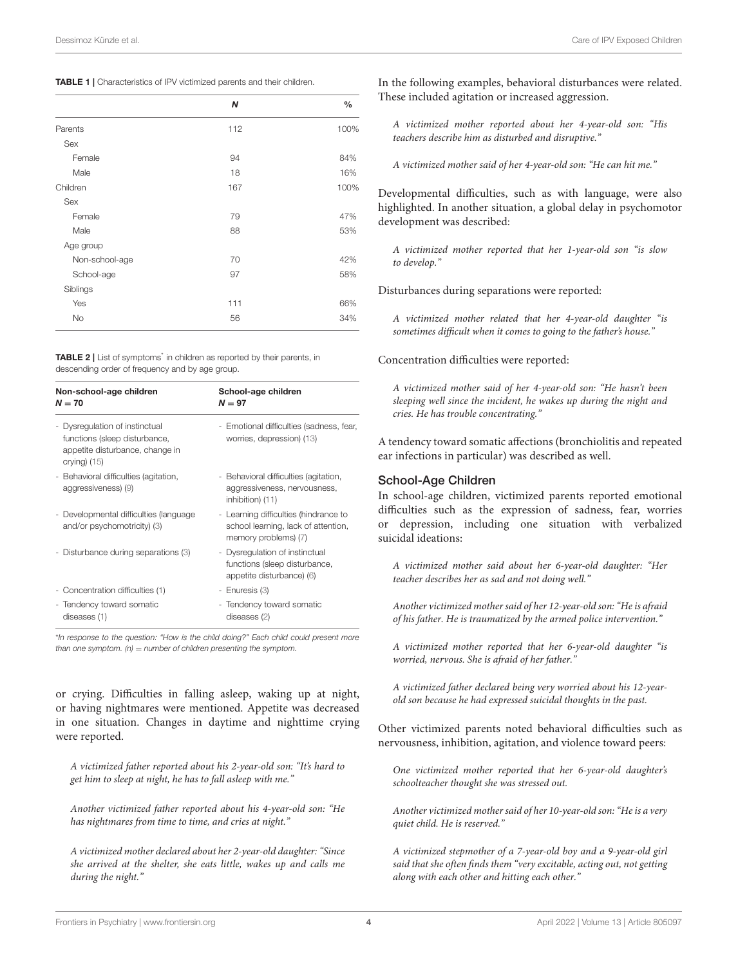<span id="page-3-0"></span>

|                | Ν   | $\frac{0}{0}$ |
|----------------|-----|---------------|
| Parents        | 112 | 100%          |
| Sex            |     |               |
| Female         | 94  | 84%           |
| Male           | 18  | 16%           |
| Children       | 167 | 100%          |
| Sex            |     |               |
| Female         | 79  | 47%           |
| Male           | 88  | 53%           |
| Age group      |     |               |
| Non-school-age | 70  | 42%           |
| School-age     | 97  | 58%           |
| Siblings       |     |               |
| Yes            | 111 | 66%           |
| <b>No</b>      | 56  | 34%           |

<span id="page-3-1"></span>TABLE 2 | List of symptoms<sup>\*</sup> in children as reported by their parents, in descending order of frequency and by age group.

| Non-school-age children<br>$N = 70$                                                                                  | School-age children<br>$N = 97$                                                                      |  |  |
|----------------------------------------------------------------------------------------------------------------------|------------------------------------------------------------------------------------------------------|--|--|
| - Dysregulation of instinctual<br>functions (sleep disturbance,<br>appetite disturbance, change in<br>crying) $(15)$ | - Emotional difficulties (sadness, fear,<br>worries, depression) (13)                                |  |  |
| - Behavioral difficulties (agitation,<br>aggressiveness) (9)                                                         | - Behavioral difficulties (agitation,<br>aggressiveness, nervousness,<br>inhibition) (11)            |  |  |
| - Developmental difficulties (language<br>and/or psychomotricity) (3)                                                | - Learning difficulties (hindrance to<br>school learning, lack of attention,<br>memory problems) (7) |  |  |
| - Disturbance during separations (3)                                                                                 | - Dysregulation of instinctual<br>functions (sleep disturbance,<br>appetite disturbance) (6)         |  |  |
| - Concentration difficulties (1)                                                                                     | - Enuresis (3)                                                                                       |  |  |
| - Tendency toward somatic<br>diseases (1)                                                                            | - Tendency toward somatic<br>diseases (2)                                                            |  |  |

\*In response to the question: "How is the child doing?" Each child could present more than one symptom.  $(n)$  = number of children presenting the symptom.

or crying. Difficulties in falling asleep, waking up at night, or having nightmares were mentioned. Appetite was decreased in one situation. Changes in daytime and nighttime crying were reported.

A victimized father reported about his 2-year-old son: "It's hard to get him to sleep at night, he has to fall asleep with me."

Another victimized father reported about his 4-year-old son: "He has nightmares from time to time, and cries at night."

A victimized mother declared about her 2-year-old daughter: "Since she arrived at the shelter, she eats little, wakes up and calls me during the night."

In the following examples, behavioral disturbances were related. These included agitation or increased aggression.

A victimized mother reported about her 4-year-old son: "His teachers describe him as disturbed and disruptive."

A victimized mother said of her 4-year-old son: "He can hit me."

Developmental difficulties, such as with language, were also highlighted. In another situation, a global delay in psychomotor development was described:

A victimized mother reported that her 1-year-old son "is slow to develop."

Disturbances during separations were reported:

A victimized mother related that her 4-year-old daughter "is sometimes difficult when it comes to going to the father's house.'

Concentration difficulties were reported:

A victimized mother said of her 4-year-old son: "He hasn't been sleeping well since the incident, he wakes up during the night and cries. He has trouble concentrating."

A tendency toward somatic affections (bronchiolitis and repeated ear infections in particular) was described as well.

#### School-Age Children

In school-age children, victimized parents reported emotional difficulties such as the expression of sadness, fear, worries or depression, including one situation with verbalized suicidal ideations:

A victimized mother said about her 6-year-old daughter: "Her teacher describes her as sad and not doing well."

Another victimized mother said of her 12-year-old son: "He is afraid of his father. He is traumatized by the armed police intervention."

A victimized mother reported that her 6-year-old daughter "is worried, nervous. She is afraid of her father."

A victimized father declared being very worried about his 12-yearold son because he had expressed suicidal thoughts in the past.

Other victimized parents noted behavioral difficulties such as nervousness, inhibition, agitation, and violence toward peers:

One victimized mother reported that her 6-year-old daughter's schoolteacher thought she was stressed out.

Another victimized mother said of her 10-year-old son: "He is a very quiet child. He is reserved."

A victimized stepmother of a 7-year-old boy and a 9-year-old girl said that she often finds them "very excitable, acting out, not getting along with each other and hitting each other."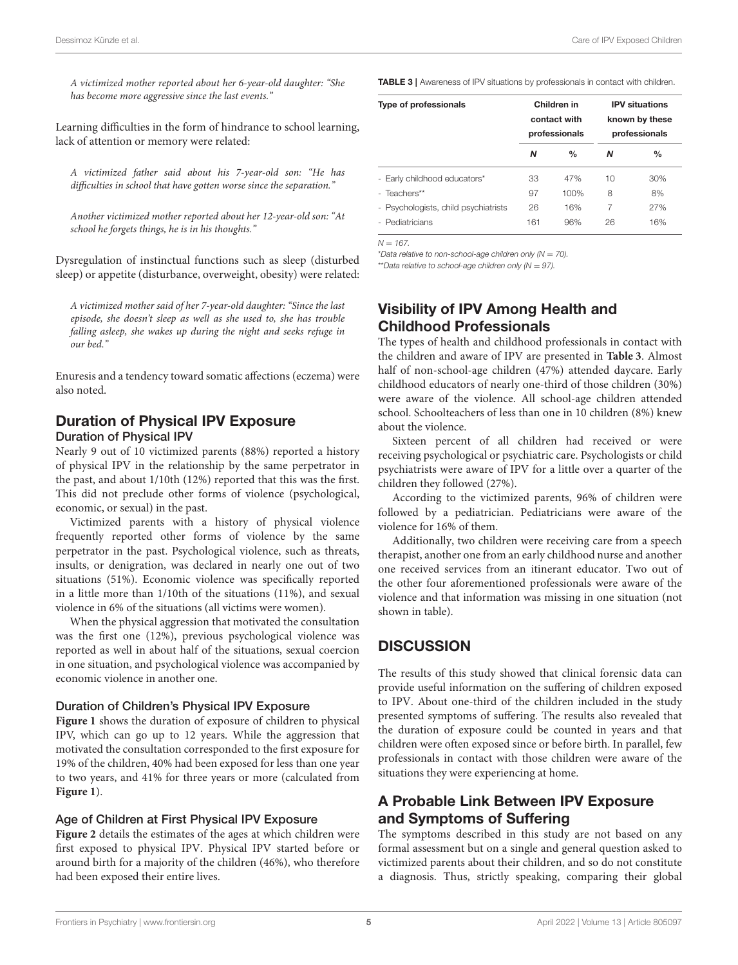Dessimoz Künzle et al. Care of IPV Exposed Children

A victimized mother reported about her 6-year-old daughter: "She has become more aggressive since the last events."

Learning difficulties in the form of hindrance to school learning, lack of attention or memory were related:

A victimized father said about his 7-year-old son: "He has difficulties in school that have gotten worse since the separation."

Another victimized mother reported about her 12-year-old son: "At school he forgets things, he is in his thoughts."

Dysregulation of instinctual functions such as sleep (disturbed sleep) or appetite (disturbance, overweight, obesity) were related:

A victimized mother said of her 7-year-old daughter: "Since the last episode, she doesn't sleep as well as she used to, she has trouble falling asleep, she wakes up during the night and seeks refuge in our bed."

Enuresis and a tendency toward somatic affections (eczema) were also noted.

#### Duration of Physical IPV Exposure Duration of Physical IPV

Nearly 9 out of 10 victimized parents (88%) reported a history of physical IPV in the relationship by the same perpetrator in the past, and about 1/10th (12%) reported that this was the first. This did not preclude other forms of violence (psychological, economic, or sexual) in the past.

Victimized parents with a history of physical violence frequently reported other forms of violence by the same perpetrator in the past. Psychological violence, such as threats, insults, or denigration, was declared in nearly one out of two situations (51%). Economic violence was specifically reported in a little more than 1/10th of the situations (11%), and sexual violence in 6% of the situations (all victims were women).

When the physical aggression that motivated the consultation was the first one (12%), previous psychological violence was reported as well in about half of the situations, sexual coercion in one situation, and psychological violence was accompanied by economic violence in another one.

#### Duration of Children's Physical IPV Exposure

**[Figure 1](#page-5-0)** shows the duration of exposure of children to physical IPV, which can go up to 12 years. While the aggression that motivated the consultation corresponded to the first exposure for 19% of the children, 40% had been exposed for less than one year to two years, and 41% for three years or more (calculated from **[Figure 1](#page-5-0)**).

#### Age of Children at First Physical IPV Exposure

**[Figure 2](#page-5-1)** details the estimates of the ages at which children were first exposed to physical IPV. Physical IPV started before or around birth for a majority of the children (46%), who therefore had been exposed their entire lives.

<span id="page-4-0"></span>TABLE 3 | Awareness of IPV situations by professionals in contact with children.

| Type of professionals                | Children in<br>contact with<br>professionals |               | <b>IPV</b> situations<br>known by these<br>professionals |     |
|--------------------------------------|----------------------------------------------|---------------|----------------------------------------------------------|-----|
|                                      | Ν                                            | $\frac{0}{0}$ | Ν                                                        | %   |
| - Early childhood educators*         | 33                                           | 47%           | 10                                                       | 30% |
| - Teachers**                         | 97                                           | 100%          | 8                                                        | 8%  |
| - Psychologists, child psychiatrists | 26                                           | 16%           | 7                                                        | 27% |
| - Pediatricians                      | 161                                          | 96%           | 26                                                       | 16% |

 $N - 167$ 

\*Data relative to non-school-age children only ( $N = 70$ ).

\*\*Data relative to school-age children only ( $N = 97$ ).

# Visibility of IPV Among Health and Childhood Professionals

The types of health and childhood professionals in contact with the children and aware of IPV are presented in **[Table 3](#page-4-0)**. Almost half of non-school-age children (47%) attended daycare. Early childhood educators of nearly one-third of those children (30%) were aware of the violence. All school-age children attended school. Schoolteachers of less than one in 10 children (8%) knew about the violence.

Sixteen percent of all children had received or were receiving psychological or psychiatric care. Psychologists or child psychiatrists were aware of IPV for a little over a quarter of the children they followed (27%).

According to the victimized parents, 96% of children were followed by a pediatrician. Pediatricians were aware of the violence for 16% of them.

Additionally, two children were receiving care from a speech therapist, another one from an early childhood nurse and another one received services from an itinerant educator. Two out of the other four aforementioned professionals were aware of the violence and that information was missing in one situation (not shown in table).

### **DISCUSSION**

The results of this study showed that clinical forensic data can provide useful information on the suffering of children exposed to IPV. About one-third of the children included in the study presented symptoms of suffering. The results also revealed that the duration of exposure could be counted in years and that children were often exposed since or before birth. In parallel, few professionals in contact with those children were aware of the situations they were experiencing at home.

### A Probable Link Between IPV Exposure and Symptoms of Suffering

The symptoms described in this study are not based on any formal assessment but on a single and general question asked to victimized parents about their children, and so do not constitute a diagnosis. Thus, strictly speaking, comparing their global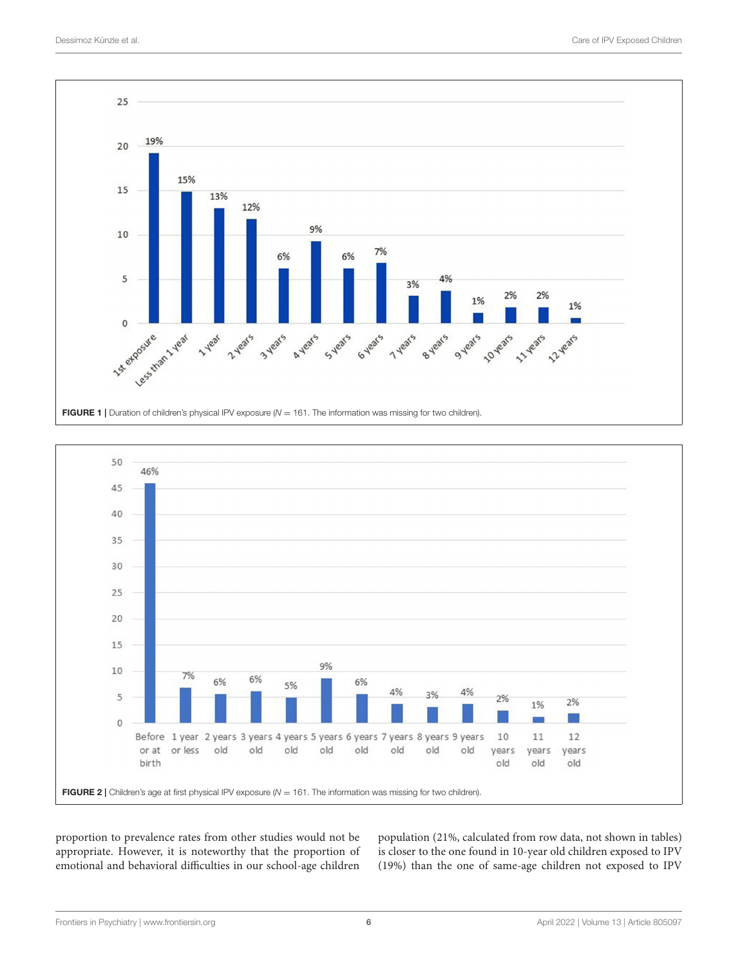

<span id="page-5-0"></span>

<span id="page-5-1"></span>proportion to prevalence rates from other studies would not be appropriate. However, it is noteworthy that the proportion of emotional and behavioral difficulties in our school-age children population (21%, calculated from row data, not shown in tables) is closer to the one found in 10-year old children exposed to IPV (19%) than the one of same-age children not exposed to IPV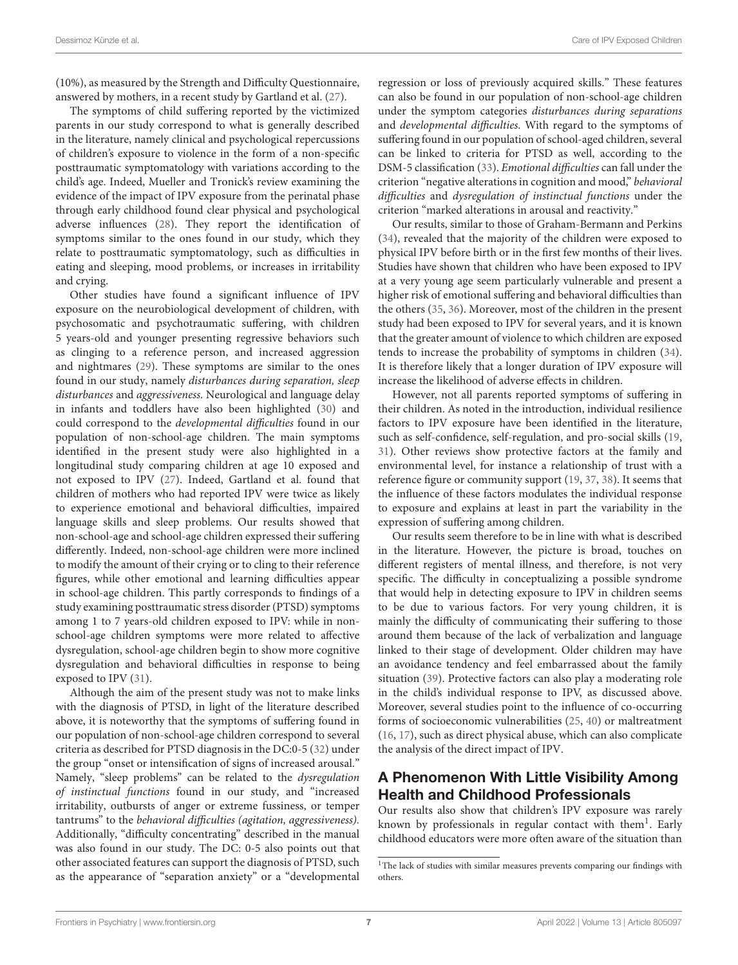(10%), as measured by the Strength and Difficulty Questionnaire, answered by mothers, in a recent study by Gartland et al. [\(27\)](#page-9-0).

The symptoms of child suffering reported by the victimized parents in our study correspond to what is generally described in the literature, namely clinical and psychological repercussions of children's exposure to violence in the form of a non-specific posttraumatic symptomatology with variations according to the child's age. Indeed, Mueller and Tronick's review examining the evidence of the impact of IPV exposure from the perinatal phase through early childhood found clear physical and psychological adverse influences [\(28\)](#page-9-1). They report the identification of symptoms similar to the ones found in our study, which they relate to posttraumatic symptomatology, such as difficulties in eating and sleeping, mood problems, or increases in irritability and crying.

Other studies have found a significant influence of IPV exposure on the neurobiological development of children, with psychosomatic and psychotraumatic suffering, with children 5 years-old and younger presenting regressive behaviors such as clinging to a reference person, and increased aggression and nightmares [\(29\)](#page-9-2). These symptoms are similar to the ones found in our study, namely disturbances during separation, sleep disturbances and aggressiveness. Neurological and language delay in infants and toddlers have also been highlighted [\(30\)](#page-9-3) and could correspond to the developmental difficulties found in our population of non-school-age children. The main symptoms identified in the present study were also highlighted in a longitudinal study comparing children at age 10 exposed and not exposed to IPV [\(27\)](#page-9-0). Indeed, Gartland et al. found that children of mothers who had reported IPV were twice as likely to experience emotional and behavioral difficulties, impaired language skills and sleep problems. Our results showed that non-school-age and school-age children expressed their suffering differently. Indeed, non-school-age children were more inclined to modify the amount of their crying or to cling to their reference figures, while other emotional and learning difficulties appear in school-age children. This partly corresponds to findings of a study examining posttraumatic stress disorder (PTSD) symptoms among 1 to 7 years-old children exposed to IPV: while in nonschool-age children symptoms were more related to affective dysregulation, school-age children begin to show more cognitive dysregulation and behavioral difficulties in response to being exposed to IPV [\(31\)](#page-9-4).

Although the aim of the present study was not to make links with the diagnosis of PTSD, in light of the literature described above, it is noteworthy that the symptoms of suffering found in our population of non-school-age children correspond to several criteria as described for PTSD diagnosis in the DC:0-5 [\(32\)](#page-9-5) under the group "onset or intensification of signs of increased arousal." Namely, "sleep problems" can be related to the dysregulation of instinctual functions found in our study, and "increased irritability, outbursts of anger or extreme fussiness, or temper tantrums" to the behavioral difficulties (agitation, aggressiveness). Additionally, "difficulty concentrating" described in the manual was also found in our study. The DC: 0-5 also points out that other associated features can support the diagnosis of PTSD, such as the appearance of "separation anxiety" or a "developmental regression or loss of previously acquired skills." These features can also be found in our population of non-school-age children under the symptom categories disturbances during separations and developmental difficulties. With regard to the symptoms of suffering found in our population of school-aged children, several can be linked to criteria for PTSD as well, according to the DSM-5 classification [\(33\)](#page-9-6). Emotional difficulties can fall under the criterion "negative alterations in cognition and mood," behavioral difficulties and dysregulation of instinctual functions under the criterion "marked alterations in arousal and reactivity."

Our results, similar to those of Graham-Bermann and Perkins [\(34\)](#page-9-7), revealed that the majority of the children were exposed to physical IPV before birth or in the first few months of their lives. Studies have shown that children who have been exposed to IPV at a very young age seem particularly vulnerable and present a higher risk of emotional suffering and behavioral difficulties than the others [\(35,](#page-9-8) [36\)](#page-9-9). Moreover, most of the children in the present study had been exposed to IPV for several years, and it is known that the greater amount of violence to which children are exposed tends to increase the probability of symptoms in children [\(34\)](#page-9-7). It is therefore likely that a longer duration of IPV exposure will increase the likelihood of adverse effects in children.

However, not all parents reported symptoms of suffering in their children. As noted in the introduction, individual resilience factors to IPV exposure have been identified in the literature, such as self-confidence, self-regulation, and pro-social skills [\(19,](#page-8-14) [31\)](#page-9-4). Other reviews show protective factors at the family and environmental level, for instance a relationship of trust with a reference figure or community support [\(19,](#page-8-14) [37,](#page-9-10) [38\)](#page-9-11). It seems that the influence of these factors modulates the individual response to exposure and explains at least in part the variability in the expression of suffering among children.

Our results seem therefore to be in line with what is described in the literature. However, the picture is broad, touches on different registers of mental illness, and therefore, is not very specific. The difficulty in conceptualizing a possible syndrome that would help in detecting exposure to IPV in children seems to be due to various factors. For very young children, it is mainly the difficulty of communicating their suffering to those around them because of the lack of verbalization and language linked to their stage of development. Older children may have an avoidance tendency and feel embarrassed about the family situation [\(39\)](#page-9-12). Protective factors can also play a moderating role in the child's individual response to IPV, as discussed above. Moreover, several studies point to the influence of co-occurring forms of socioeconomic vulnerabilities [\(25,](#page-8-20) [40\)](#page-9-13) or maltreatment [\(16,](#page-8-11) [17\)](#page-8-12), such as direct physical abuse, which can also complicate the analysis of the direct impact of IPV.

# A Phenomenon With Little Visibility Among Health and Childhood Professionals

Our results also show that children's IPV exposure was rarely known by professionals in regular contact with them<sup>[1](#page-6-0)</sup>. Early childhood educators were more often aware of the situation than

<span id="page-6-0"></span><sup>&</sup>lt;sup>1</sup>The lack of studies with similar measures prevents comparing our findings with others.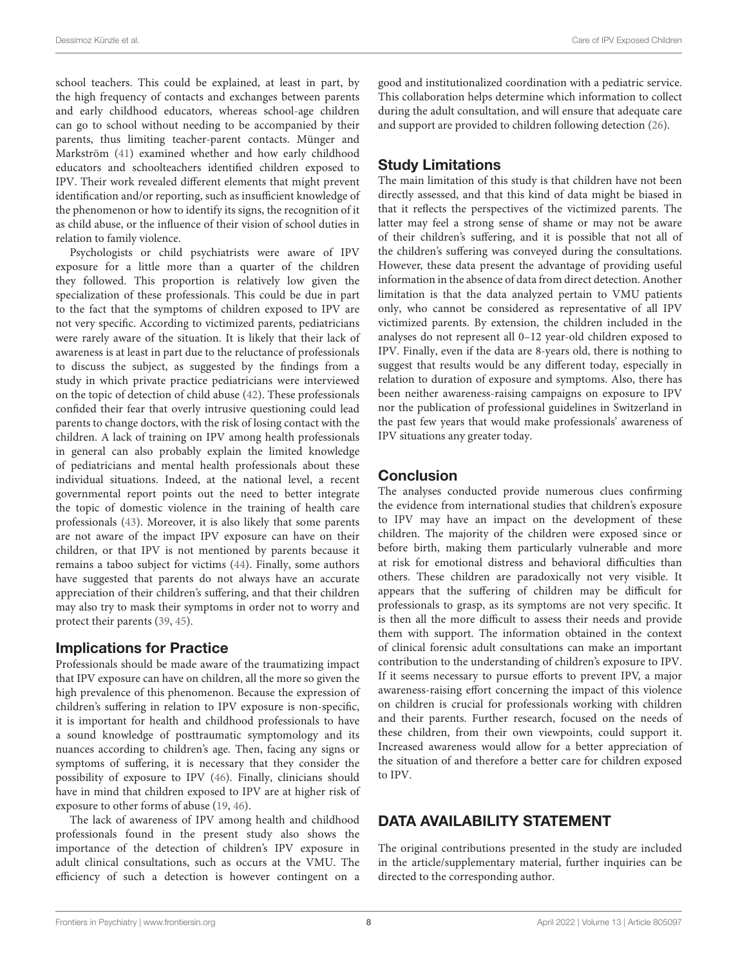school teachers. This could be explained, at least in part, by the high frequency of contacts and exchanges between parents and early childhood educators, whereas school-age children can go to school without needing to be accompanied by their parents, thus limiting teacher-parent contacts. Münger and Markström [\(41\)](#page-9-14) examined whether and how early childhood educators and schoolteachers identified children exposed to IPV. Their work revealed different elements that might prevent identification and/or reporting, such as insufficient knowledge of the phenomenon or how to identify its signs, the recognition of it as child abuse, or the influence of their vision of school duties in relation to family violence.

Psychologists or child psychiatrists were aware of IPV exposure for a little more than a quarter of the children they followed. This proportion is relatively low given the specialization of these professionals. This could be due in part to the fact that the symptoms of children exposed to IPV are not very specific. According to victimized parents, pediatricians were rarely aware of the situation. It is likely that their lack of awareness is at least in part due to the reluctance of professionals to discuss the subject, as suggested by the findings from a study in which private practice pediatricians were interviewed on the topic of detection of child abuse [\(42\)](#page-9-15). These professionals confided their fear that overly intrusive questioning could lead parents to change doctors, with the risk of losing contact with the children. A lack of training on IPV among health professionals in general can also probably explain the limited knowledge of pediatricians and mental health professionals about these individual situations. Indeed, at the national level, a recent governmental report points out the need to better integrate the topic of domestic violence in the training of health care professionals [\(43\)](#page-9-16). Moreover, it is also likely that some parents are not aware of the impact IPV exposure can have on their children, or that IPV is not mentioned by parents because it remains a taboo subject for victims [\(44\)](#page-9-17). Finally, some authors have suggested that parents do not always have an accurate appreciation of their children's suffering, and that their children may also try to mask their symptoms in order not to worry and protect their parents [\(39,](#page-9-12) [45\)](#page-9-18).

### Implications for Practice

Professionals should be made aware of the traumatizing impact that IPV exposure can have on children, all the more so given the high prevalence of this phenomenon. Because the expression of children's suffering in relation to IPV exposure is non-specific, it is important for health and childhood professionals to have a sound knowledge of posttraumatic symptomology and its nuances according to children's age. Then, facing any signs or symptoms of suffering, it is necessary that they consider the possibility of exposure to IPV [\(46\)](#page-9-19). Finally, clinicians should have in mind that children exposed to IPV are at higher risk of exposure to other forms of abuse [\(19,](#page-8-14) [46\)](#page-9-19).

The lack of awareness of IPV among health and childhood professionals found in the present study also shows the importance of the detection of children's IPV exposure in adult clinical consultations, such as occurs at the VMU. The efficiency of such a detection is however contingent on a

good and institutionalized coordination with a pediatric service. This collaboration helps determine which information to collect during the adult consultation, and will ensure that adequate care and support are provided to children following detection [\(26\)](#page-8-21).

# Study Limitations

The main limitation of this study is that children have not been directly assessed, and that this kind of data might be biased in that it reflects the perspectives of the victimized parents. The latter may feel a strong sense of shame or may not be aware of their children's suffering, and it is possible that not all of the children's suffering was conveyed during the consultations. However, these data present the advantage of providing useful information in the absence of data from direct detection. Another limitation is that the data analyzed pertain to VMU patients only, who cannot be considered as representative of all IPV victimized parents. By extension, the children included in the analyses do not represent all 0–12 year-old children exposed to IPV. Finally, even if the data are 8-years old, there is nothing to suggest that results would be any different today, especially in relation to duration of exposure and symptoms. Also, there has been neither awareness-raising campaigns on exposure to IPV nor the publication of professional guidelines in Switzerland in the past few years that would make professionals' awareness of IPV situations any greater today.

# **Conclusion**

The analyses conducted provide numerous clues confirming the evidence from international studies that children's exposure to IPV may have an impact on the development of these children. The majority of the children were exposed since or before birth, making them particularly vulnerable and more at risk for emotional distress and behavioral difficulties than others. These children are paradoxically not very visible. It appears that the suffering of children may be difficult for professionals to grasp, as its symptoms are not very specific. It is then all the more difficult to assess their needs and provide them with support. The information obtained in the context of clinical forensic adult consultations can make an important contribution to the understanding of children's exposure to IPV. If it seems necessary to pursue efforts to prevent IPV, a major awareness-raising effort concerning the impact of this violence on children is crucial for professionals working with children and their parents. Further research, focused on the needs of these children, from their own viewpoints, could support it. Increased awareness would allow for a better appreciation of the situation of and therefore a better care for children exposed to IPV.

# DATA AVAILABILITY STATEMENT

The original contributions presented in the study are included in the article/supplementary material, further inquiries can be directed to the corresponding author.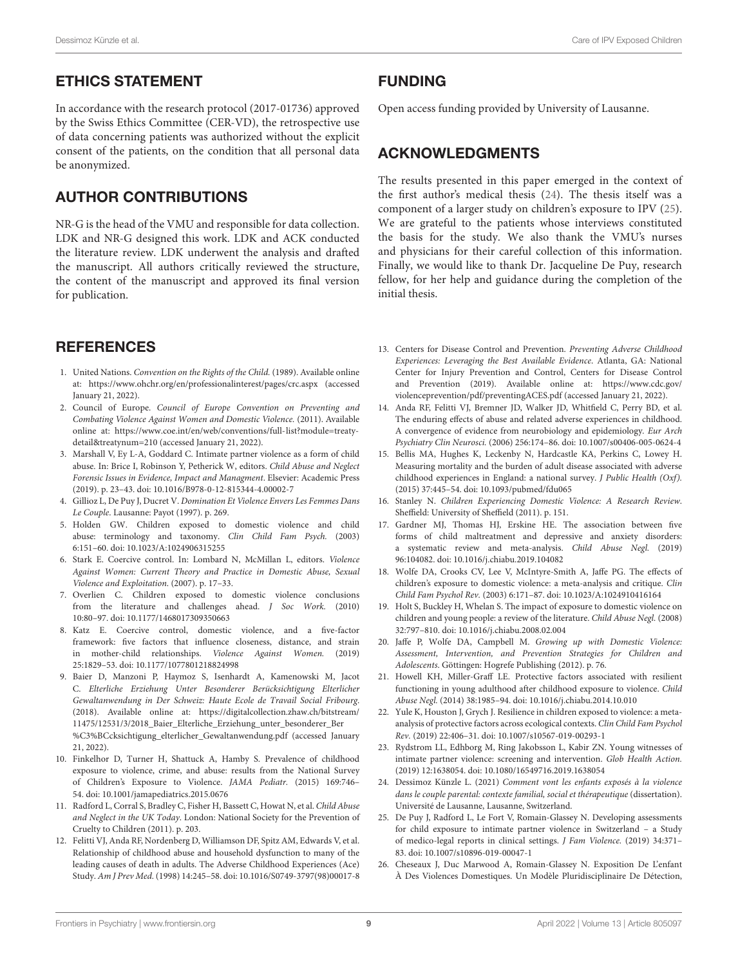### ETHICS STATEMENT

In accordance with the research protocol (2017-01736) approved by the Swiss Ethics Committee (CER-VD), the retrospective use of data concerning patients was authorized without the explicit consent of the patients, on the condition that all personal data be anonymized.

# AUTHOR CONTRIBUTIONS

NR-G is the head of the VMU and responsible for data collection. LDK and NR-G designed this work. LDK and ACK conducted the literature review. LDK underwent the analysis and drafted the manuscript. All authors critically reviewed the structure, the content of the manuscript and approved its final version for publication.

# **REFERENCES**

- <span id="page-8-0"></span>1. United Nations. Convention on the Rights of the Child. (1989). Available online at:<https://www.ohchr.org/en/professionalinterest/pages/crc.aspx> (accessed January 21, 2022).
- <span id="page-8-24"></span>2. Council of Europe. Council of Europe Convention on Preventing and Combating Violence Against Women and Domestic Violence. (2011). Available online at: [https://www.coe.int/en/web/conventions/full-list?module=treaty](https://www.coe.int/en/web/conventions/full-list?module=treaty-detail&treatynum=210)[detail&treatynum=210](https://www.coe.int/en/web/conventions/full-list?module=treaty-detail&treatynum=210) (accessed January 21, 2022).
- <span id="page-8-1"></span>3. Marshall V, Ey L-A, Goddard C. Intimate partner violence as a form of child abuse. In: Brice I, Robinson Y, Petherick W, editors. Child Abuse and Neglect Forensic Issues in Evidence, Impact and Managment. Elsevier: Academic Press (2019). p. 23–43. doi: [10.1016/B978-0-12-815344-4.00002-7](https://doi.org/10.1016/B978-0-12-815344-4.00002-7)
- <span id="page-8-2"></span>4. Gillioz L, De Puy J, Ducret V. Domination Et Violence Envers Les Femmes Dans Le Couple. Lausanne: Payot (1997). p. 269.
- 5. Holden GW. Children exposed to domestic violence and child abuse: terminology and taxonomy. Clin Child Fam Psych. (2003) 6:151–60. doi: [10.1023/A:1024906315255](https://doi.org/10.1023/A:1024906315255)
- <span id="page-8-23"></span>6. Stark E. Coercive control. In: Lombard N, McMillan L, editors. Violence Against Women: Current Theory and Practice in Domestic Abuse, Sexual Violence and Exploitation. (2007). p. 17–33.
- <span id="page-8-22"></span>7. Overlien C. Children exposed to domestic violence conclusions from the literature and challenges ahead. J Soc Work. (2010) 10:80–97. doi: [10.1177/1468017309350663](https://doi.org/10.1177/1468017309350663)
- <span id="page-8-3"></span>8. Katz E. Coercive control, domestic violence, and a five-factor framework: five factors that influence closeness, distance, and strain in mother-child relationships. Violence Against Women. (2019) 25:1829–53. doi: [10.1177/1077801218824998](https://doi.org/10.1177/1077801218824998)
- <span id="page-8-4"></span>9. Baier D, Manzoni P, Haymoz S, Isenhardt A, Kamenowski M, Jacot C. Elterliche Erziehung Unter Besonderer Berücksichtigung Elterlicher Gewaltanwendung in Der Schweiz: Haute Ecole de Travail Social Fribourg. (2018). Available online at: [https://digitalcollection.zhaw.ch/bitstream/](https://digitalcollection.zhaw.ch/bitstream/11475/12531/3/2018_Baier_Elterliche_Erziehung_unter_besonderer_Ber%C3%BCcksichtigung_elterlicher_Gewaltanwendung.pdf) [11475/12531/3/2018\\_Baier\\_Elterliche\\_Erziehung\\_unter\\_besonderer\\_Ber](https://digitalcollection.zhaw.ch/bitstream/11475/12531/3/2018_Baier_Elterliche_Erziehung_unter_besonderer_Ber%C3%BCcksichtigung_elterlicher_Gewaltanwendung.pdf) [%C3%BCcksichtigung\\_elterlicher\\_Gewaltanwendung.pdf](https://digitalcollection.zhaw.ch/bitstream/11475/12531/3/2018_Baier_Elterliche_Erziehung_unter_besonderer_Ber%C3%BCcksichtigung_elterlicher_Gewaltanwendung.pdf) (accessed January 21, 2022).
- <span id="page-8-5"></span>10. Finkelhor D, Turner H, Shattuck A, Hamby S. Prevalence of childhood exposure to violence, crime, and abuse: results from the National Survey of Children's Exposure to Violence. JAMA Pediatr. (2015) 169:746– 54. doi: [10.1001/jamapediatrics.2015.0676](https://doi.org/10.1001/jamapediatrics.2015.0676)
- <span id="page-8-6"></span>11. Radford L, Corral S, Bradley C, Fisher H, Bassett C, Howat N, et al. Child Abuse and Neglect in the UK Today. London: National Society for the Prevention of Cruelty to Children (2011). p. 203.
- <span id="page-8-7"></span>12. Felitti VJ, Anda RF, Nordenberg D, Williamson DF, Spitz AM, Edwards V, et al. Relationship of childhood abuse and household dysfunction to many of the leading causes of death in adults. The Adverse Childhood Experiences (Ace) Study. Am J Prev Med. (1998) 14:245–58. doi: [10.1016/S0749-3797\(98\)00017-8](https://doi.org/10.1016/S0749-3797(98)00017-8)

### FUNDING

Open access funding provided by University of Lausanne.

### ACKNOWLEDGMENTS

The results presented in this paper emerged in the context of the first author's medical thesis [\(24\)](#page-8-19). The thesis itself was a component of a larger study on children's exposure to IPV [\(25\)](#page-8-20). We are grateful to the patients whose interviews constituted the basis for the study. We also thank the VMU's nurses and physicians for their careful collection of this information. Finally, we would like to thank Dr. Jacqueline De Puy, research fellow, for her help and guidance during the completion of the initial thesis.

- <span id="page-8-8"></span>13. Centers for Disease Control and Prevention. Preventing Adverse Childhood Experiences: Leveraging the Best Available Evidence. Atlanta, GA: National Center for Injury Prevention and Control, Centers for Disease Control and Prevention (2019). Available online at: [https://www.cdc.gov/](https://www.cdc.gov/violenceprevention/pdf/preventingACES.pdf) [violenceprevention/pdf/preventingACES.pdf](https://www.cdc.gov/violenceprevention/pdf/preventingACES.pdf) (accessed January 21, 2022).
- <span id="page-8-9"></span>14. Anda RF, Felitti VJ, Bremner JD, Walker JD, Whitfield C, Perry BD, et al. The enduring effects of abuse and related adverse experiences in childhood. A convergence of evidence from neurobiology and epidemiology. Eur Arch Psychiatry Clin Neurosci. (2006) 256:174–86. doi: [10.1007/s00406-005-0624-4](https://doi.org/10.1007/s00406-005-0624-4)
- <span id="page-8-10"></span>15. Bellis MA, Hughes K, Leckenby N, Hardcastle KA, Perkins C, Lowey H. Measuring mortality and the burden of adult disease associated with adverse childhood experiences in England: a national survey. J Public Health (Oxf). (2015) 37:445–54. doi: [10.1093/pubmed/fdu065](https://doi.org/10.1093/pubmed/fdu065)
- <span id="page-8-11"></span>16. Stanley N. Children Experiencing Domestic Violence: A Research Review. Sheffield: University of Sheffield (2011). p. 151.
- <span id="page-8-12"></span>17. Gardner MJ, Thomas HJ, Erskine HE. The association between five forms of child maltreatment and depressive and anxiety disorders: a systematic review and meta-analysis. Child Abuse Negl. (2019) 96:104082. doi: [10.1016/j.chiabu.2019.104082](https://doi.org/10.1016/j.chiabu.2019.104082)
- <span id="page-8-13"></span>18. Wolfe DA, Crooks CV, Lee V, McIntyre-Smith A, Jaffe PG. The effects of children's exposure to domestic violence: a meta-analysis and critique. Clin Child Fam Psychol Rev. (2003) 6:171–87. doi: [10.1023/A:1024910416164](https://doi.org/10.1023/A:1024910416164)
- <span id="page-8-14"></span>19. Holt S, Buckley H, Whelan S. The impact of exposure to domestic violence on children and young people: a review of the literature. Child Abuse Negl. (2008) 32:797–810. doi: [10.1016/j.chiabu.2008.02.004](https://doi.org/10.1016/j.chiabu.2008.02.004)
- <span id="page-8-15"></span>20. Jaffe P, Wolfe DA, Campbell M. Growing up with Domestic Violence: Assessment, Intervention, and Prevention Strategies for Children and Adolescents. Göttingen: Hogrefe Publishing (2012). p. 76.
- <span id="page-8-16"></span>21. Howell KH, Miller-Graff LE. Protective factors associated with resilient functioning in young adulthood after childhood exposure to violence. Child Abuse Negl. (2014) 38:1985–94. doi: [10.1016/j.chiabu.2014.10.010](https://doi.org/10.1016/j.chiabu.2014.10.010)
- <span id="page-8-17"></span>22. Yule K, Houston J, Grych J. Resilience in children exposed to violence: a metaanalysis of protective factors across ecological contexts. Clin Child Fam Psychol Rev. (2019) 22:406–31. doi: [10.1007/s10567-019-00293-1](https://doi.org/10.1007/s10567-019-00293-1)
- <span id="page-8-18"></span>23. Rydstrom LL, Edhborg M, Ring Jakobsson L, Kabir ZN. Young witnesses of intimate partner violence: screening and intervention. Glob Health Action. (2019) 12:1638054. doi: [10.1080/16549716.2019.1638054](https://doi.org/10.1080/16549716.2019.1638054)
- <span id="page-8-19"></span>24. Dessimoz Künzle L. (2021) Comment vont les enfants exposés à la violence dans le couple parental: contexte familial, social et thérapeutique (dissertation). Université de Lausanne, Lausanne, Switzerland.
- <span id="page-8-20"></span>25. De Puy J, Radford L, Le Fort V, Romain-Glassey N. Developing assessments for child exposure to intimate partner violence in Switzerland – a Study of medico-legal reports in clinical settings. J Fam Violence. (2019) 34:371– 83. doi: [10.1007/s10896-019-00047-1](https://doi.org/10.1007/s10896-019-00047-1)
- <span id="page-8-21"></span>26. Cheseaux J, Duc Marwood A, Romain-Glassey N. Exposition De L'enfant À Des Violences Domestiques. Un Modèle Pluridisciplinaire De Détection,